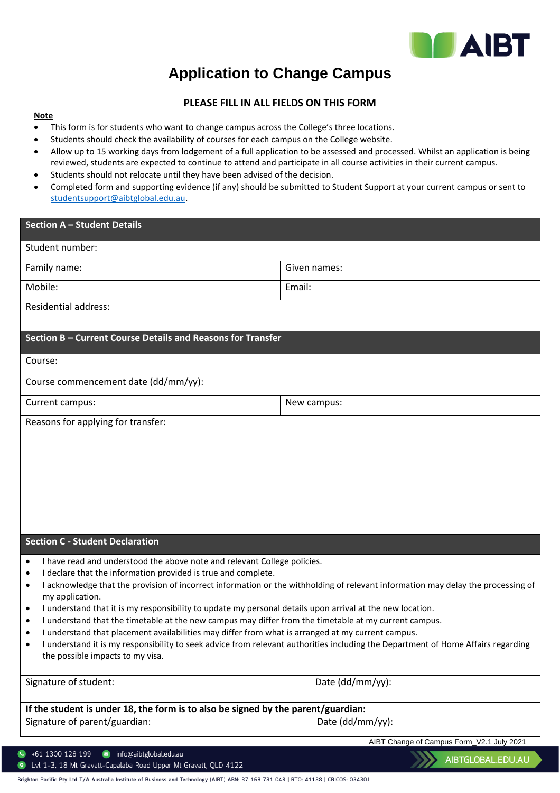

a de la construcción de la construcción de la construcción de la construcción de la construcción de la construcción de la construcción de la construcción de la construcción de la construcción de la construcción de la const

## **Application to Change Campus**

## **PLEASE FILL IN ALL FIELDS ON THIS FORM**

## **Note**

- This form is for students who want to change campus across the College's three locations.
- Students should check the availability of courses for each campus on the College website.
- Allow up to 15 working days from lodgement of a full application to be assessed and processed. Whilst an application is being reviewed, students are expected to continue to attend and participate in all course activities in their current campus.
- Students should not relocate until they have been advised of the decision.
- Completed form and supporting evidence (if any) should be submitted to Student Support at your current campus or sent to [studentsupport@aibtglobal.edu.au.](mailto:studentsupport@aibtglobal.edu.au)

| <b>Section A - Student Details</b>                                                                                                                                                                                                           |                                                                                                                                  |  |  |  |
|----------------------------------------------------------------------------------------------------------------------------------------------------------------------------------------------------------------------------------------------|----------------------------------------------------------------------------------------------------------------------------------|--|--|--|
| Student number:                                                                                                                                                                                                                              |                                                                                                                                  |  |  |  |
| Family name:                                                                                                                                                                                                                                 | Given names:                                                                                                                     |  |  |  |
| Mobile:                                                                                                                                                                                                                                      | Email:                                                                                                                           |  |  |  |
| <b>Residential address:</b>                                                                                                                                                                                                                  |                                                                                                                                  |  |  |  |
| Section B - Current Course Details and Reasons for Transfer                                                                                                                                                                                  |                                                                                                                                  |  |  |  |
|                                                                                                                                                                                                                                              |                                                                                                                                  |  |  |  |
| Course:                                                                                                                                                                                                                                      |                                                                                                                                  |  |  |  |
| Course commencement date (dd/mm/yy):                                                                                                                                                                                                         |                                                                                                                                  |  |  |  |
| Current campus:                                                                                                                                                                                                                              | New campus:                                                                                                                      |  |  |  |
| Reasons for applying for transfer:                                                                                                                                                                                                           |                                                                                                                                  |  |  |  |
|                                                                                                                                                                                                                                              |                                                                                                                                  |  |  |  |
|                                                                                                                                                                                                                                              |                                                                                                                                  |  |  |  |
|                                                                                                                                                                                                                                              |                                                                                                                                  |  |  |  |
|                                                                                                                                                                                                                                              |                                                                                                                                  |  |  |  |
|                                                                                                                                                                                                                                              |                                                                                                                                  |  |  |  |
| <b>Section C - Student Declaration</b>                                                                                                                                                                                                       |                                                                                                                                  |  |  |  |
| I have read and understood the above note and relevant College policies.<br>٠                                                                                                                                                                |                                                                                                                                  |  |  |  |
| I declare that the information provided is true and complete.<br>$\bullet$<br>I acknowledge that the provision of incorrect information or the withholding of relevant information may delay the processing of<br>$\bullet$                  |                                                                                                                                  |  |  |  |
| my application.                                                                                                                                                                                                                              |                                                                                                                                  |  |  |  |
| I understand that it is my responsibility to update my personal details upon arrival at the new location.<br>$\bullet$<br>I understand that the timetable at the new campus may differ from the timetable at my current campus.<br>$\bullet$ |                                                                                                                                  |  |  |  |
| I understand that placement availabilities may differ from what is arranged at my current campus.<br>$\bullet$                                                                                                                               |                                                                                                                                  |  |  |  |
| the possible impacts to my visa.                                                                                                                                                                                                             | I understand it is my responsibility to seek advice from relevant authorities including the Department of Home Affairs regarding |  |  |  |
| Signature of student:                                                                                                                                                                                                                        | Date (dd/mm/yy):                                                                                                                 |  |  |  |
| If the student is under 18, the form is to also be signed by the parent/guardian:                                                                                                                                                            |                                                                                                                                  |  |  |  |
| Signature of parent/guardian:                                                                                                                                                                                                                | Date (dd/mm/yy):                                                                                                                 |  |  |  |
|                                                                                                                                                                                                                                              | AIBT Change of Campus Form_V2.1 July 2021                                                                                        |  |  |  |
| +61 1300 128 199<br>info@aibtglobal.edu.au<br>Croyott Canalaha Boad Linner Mt Croyott OLD                                                                                                                                                    | AIBTGLOBAL.EDU.AU                                                                                                                |  |  |  |

|  |  | <b>CONTRACT CONTRACT CAPAGING INDIA OPPER INTEGRATION AT LACTES</b> |  |  |
|--|--|---------------------------------------------------------------------|--|--|
|  |  |                                                                     |  |  |